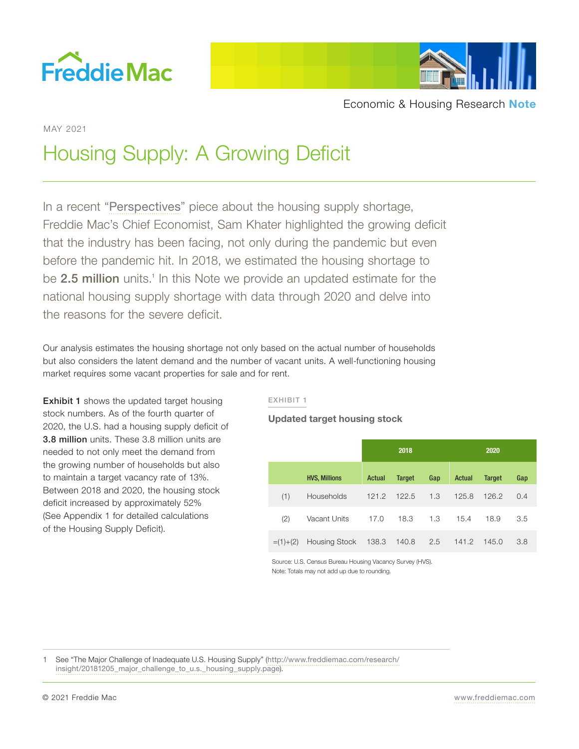



MAY 2021

# Housing Supply: A Growing Deficit

In a recent "[Perspectives](http://www.freddiemac.com/perspectives/sam_khater/20210415_single_family_shortage.page?)" piece about the housing supply shortage, Freddie Mac's Chief Economist, Sam Khater highlighted the growing deficit that the industry has been facing, not only during the pandemic but even before the pandemic hit. In 2018, we estimated the housing shortage to be 2.5 million units.<sup>1</sup> In this Note we provide an updated estimate for the national housing supply shortage with data through 2020 and delve into the reasons for the severe deficit.

Our analysis estimates the housing shortage not only based on the actual number of households but also considers the latent demand and the number of vacant units. A well-functioning housing market requires some vacant properties for sale and for rent.

**Exhibit 1** shows the updated target housing stock numbers. As of the fourth quarter of 2020, the U.S. had a housing supply deficit of 3.8 million units. These 3.8 million units are needed to not only meet the demand from the growing number of households but also to maintain a target vacancy rate of 13%. Between 2018 and 2020, the housing stock deficit increased by approximately 52% (See Appendix 1 for detailed calculations of the Housing Supply Deficit).

## EXHIBIT 1

**Updated target housing stock**

|               |                      |        | 2018          |     |        | 2020          |     |
|---------------|----------------------|--------|---------------|-----|--------|---------------|-----|
|               | <b>HVS, Millions</b> | Actual | <b>Target</b> | Gap | Actual | <b>Target</b> | Gap |
| (1)           | Households           | 121.2  | 122.5         | 1.3 | 125.8  | 126.2         | 0.4 |
| (2)           | Vacant Units         | 17.0   | 18.3          | 1.3 | 15.4   | 18.9          | 3.5 |
| $= (1) + (2)$ | Housing Stock        | 138.3  | 140.8         | 2.5 | 141.2  | 145.0         | 3.8 |

Source: U.S. Census Bureau Housing Vacancy Survey (HVS). Note: Totals may not add up due to rounding.

See "The Major Challenge of Inadequate U.S. Housing Supply" ([http://www.freddiemac.com/research/](http://www.freddiemac.com/research/insight/20181205_major_challenge_to_u.s._housing_supply.page)) [insight/20181205\\_major\\_challenge\\_to\\_u.s.\\_housing\\_supply.page](http://www.freddiemac.com/research/insight/20181205_major_challenge_to_u.s._housing_supply.page))).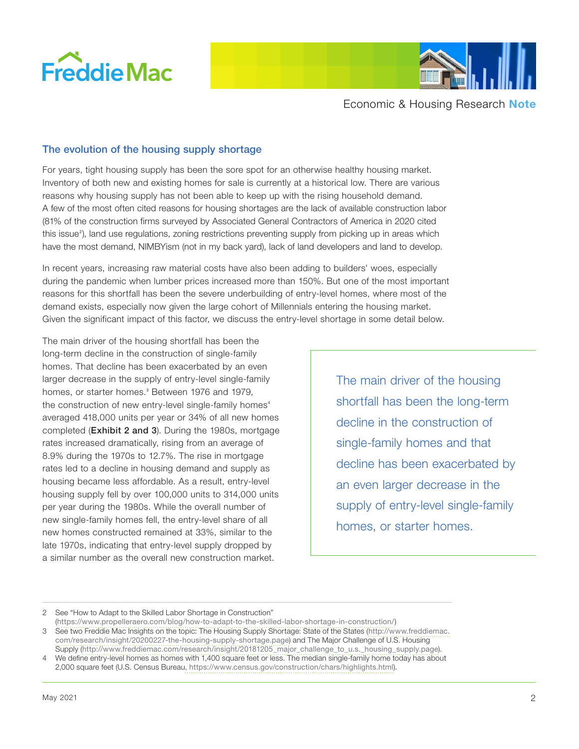



## The evolution of the housing supply shortage

For years, tight housing supply has been the sore spot for an otherwise healthy housing market. Inventory of both new and existing homes for sale is currently at a historical low. There are various reasons why housing supply has not been able to keep up with the rising household demand. A few of the most often cited reasons for housing shortages are the lack of available construction labor (81% of the construction firms surveyed by Associated General Contractors of America in 2020 cited this issue<sup>2</sup>), land use regulations, zoning restrictions preventing supply from picking up in areas which have the most demand, NIMBYism (not in my back yard), lack of land developers and land to develop.

In recent years, increasing raw material costs have also been adding to builders' woes, especially during the pandemic when lumber prices increased more than 150%. But one of the most important reasons for this shortfall has been the severe underbuilding of entry-level homes, where most of the demand exists, especially now given the large cohort of Millennials entering the housing market. Given the significant impact of this factor, we discuss the entry-level shortage in some detail below.

The main driver of the housing shortfall has been the long-term decline in the construction of single-family homes. That decline has been exacerbated by an even larger decrease in the supply of entry-level single-family homes, or starter homes.<sup>3</sup> Between 1976 and 1979, the construction of new entry-level single-family homes<sup>4</sup> averaged 418,000 units per year or 34% of all new homes completed (Exhibit 2 and 3). During the 1980s, mortgage rates increased dramatically, rising from an average of 8.9% during the 1970s to 12.7%. The rise in mortgage rates led to a decline in housing demand and supply as housing became less affordable. As a result, entry-level housing supply fell by over 100,000 units to 314,000 units per year during the 1980s. While the overall number of new single-family homes fell, the entry-level share of all new homes constructed remained at 33%, similar to the late 1970s, indicating that entry-level supply dropped by a similar number as the overall new construction market.

The main driver of the housing shortfall has been the long-term decline in the construction of single-family homes and that decline has been exacerbated by an even larger decrease in the supply of entry-level single-family homes, or starter homes.

2 See ["How to Adapt to the Skilled Labor Shortage in Construction](https://www.propelleraero.com/blog/how-to-adapt-to-the-skilled-labor-shortage-in-construction/)"

(<https://www.propelleraero.com/blog/how-to-adapt-to-the-skilled-labor-shortage-in-construction/>) 3 See two Freddie Mac Insights on the topic: [The Housing Supply Shortage: State of the States](http://www.freddiemac.com/research/insight/20200227-the-housing-supply-shortage.page?) ([http://www.freddiemac.](http://www.freddiemac.com/research/insight/20200227-the-housing-supply-shortage.page) [com/research/insight/20200227-the-housing-supply-shortage.page](http://www.freddiemac.com/research/insight/20200227-the-housing-supply-shortage.page)) and [The Major Challenge of U.S. Housing](http://www.freddiemac.com/research/insight/20181205_major_challenge_to_u.s._housing_supply.page?) 

[Supply](http://www.freddiemac.com/research/insight/20181205_major_challenge_to_u.s._housing_supply.page?) ([http://www.freddiemac.com/research/insight/20181205\\_major\\_challenge\\_to\\_u.s.\\_housing\\_supply.page](http://www.freddiemac.com/research/insight/20181205_major_challenge_to_u.s._housing_supply.page)). 4 We define entry-level homes as homes with 1,400 square feet or less. The median single-family home today has about

2,000 square feet [\(U.S. Census Bureau](https://www.census.gov/construction/chars/highlights.html), https://www.census.gov/construction/chars/highlights.html).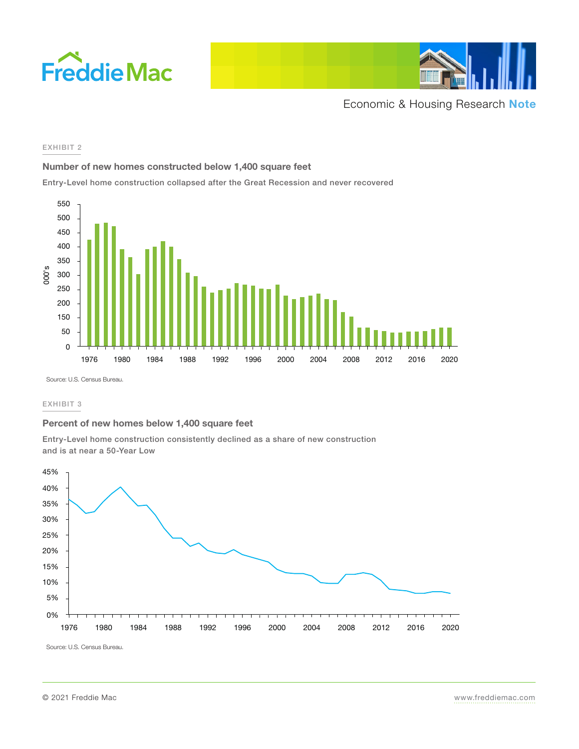



#### EXHIBIT 2

### **Number of new homes constructed below 1,400 square feet**

Entry-Level home construction collapsed after the Great Recession and never recovered



Source: U.S. Census Bureau.

#### EXHIBIT 3

### **Percent of new homes below 1,400 square feet**

Entry-Level home construction consistently declined as a share of new construction and is at near a 50-Year Low



Source: U.S. Census Bureau.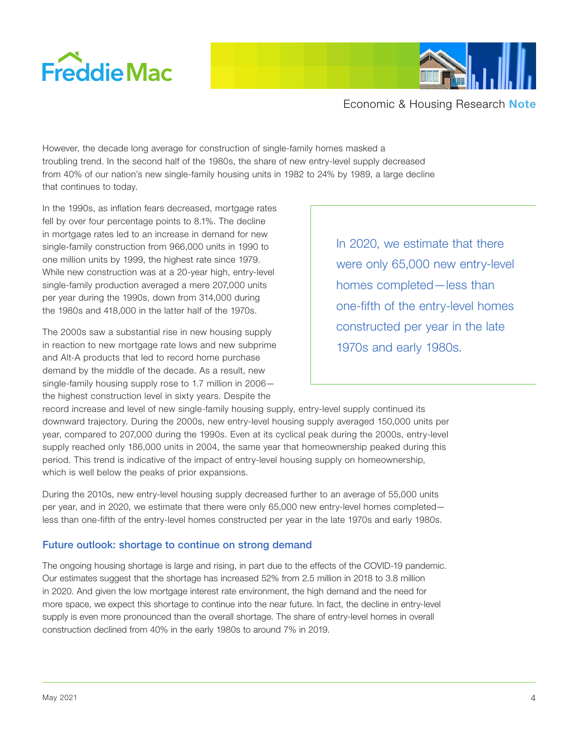



However, the decade long average for construction of single-family homes masked a troubling trend. In the second half of the 1980s, the share of new entry-level supply decreased from 40% of our nation's new single-family housing units in 1982 to 24% by 1989, a large decline that continues to today.

In the 1990s, as inflation fears decreased, mortgage rates fell by over four percentage points to 8.1%. The decline in mortgage rates led to an increase in demand for new single-family construction from 966,000 units in 1990 to one million units by 1999, the highest rate since 1979. While new construction was at a 20-year high, entry-level single-family production averaged a mere 207,000 units per year during the 1990s, down from 314,000 during the 1980s and 418,000 in the latter half of the 1970s.

The 2000s saw a substantial rise in new housing supply in reaction to new mortgage rate lows and new subprime and Alt-A products that led to record home purchase demand by the middle of the decade. As a result, new single-family housing supply rose to 1.7 million in 2006 the highest construction level in sixty years. Despite the

In 2020, we estimate that there were only 65,000 new entry-level homes completed—less than one-fifth of the entry-level homes constructed per year in the late 1970s and early 1980s.

record increase and level of new single-family housing supply, entry-level supply continued its downward trajectory. During the 2000s, new entry-level housing supply averaged 150,000 units per year, compared to 207,000 during the 1990s. Even at its cyclical peak during the 2000s, entry-level supply reached only 186,000 units in 2004, the same year that homeownership peaked during this period. This trend is indicative of the impact of entry-level housing supply on homeownership, which is well below the peaks of prior expansions.

During the 2010s, new entry-level housing supply decreased further to an average of 55,000 units per year, and in 2020, we estimate that there were only 65,000 new entry-level homes completed less than one-fifth of the entry-level homes constructed per year in the late 1970s and early 1980s.

## Future outlook: shortage to continue on strong demand

The ongoing housing shortage is large and rising, in part due to the effects of the COVID-19 pandemic. Our estimates suggest that the shortage has increased 52% from 2.5 million in 2018 to 3.8 million in 2020. And given the low mortgage interest rate environment, the high demand and the need for more space, we expect this shortage to continue into the near future. In fact, the decline in entry-level supply is even more pronounced than the overall shortage. The share of entry-level homes in overall construction declined from 40% in the early 1980s to around 7% in 2019.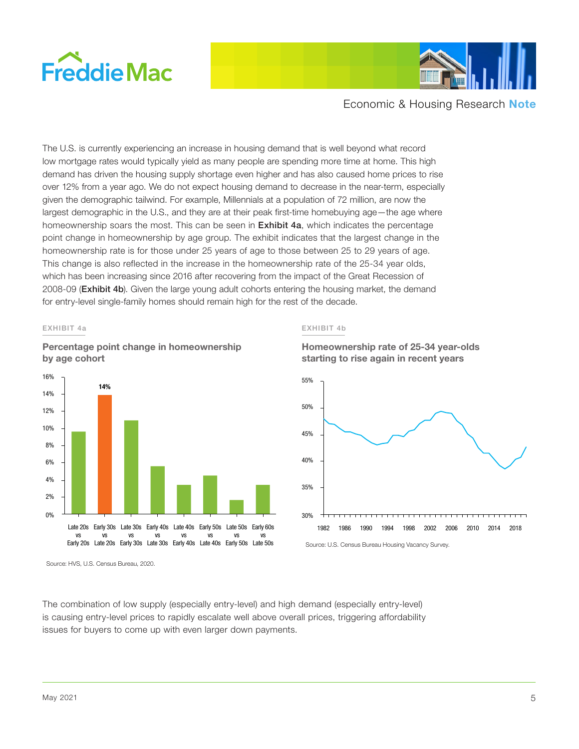



The U.S. is currently experiencing an increase in housing demand that is well beyond what record low mortgage rates would typically yield as many people are spending more time at home. This high demand has driven the housing supply shortage even higher and has also caused home prices to rise over 12% from a year ago. We do not expect housing demand to decrease in the near-term, especially given the demographic tailwind. For example, Millennials at a population of 72 million, are now the largest demographic in the U.S., and they are at their peak first-time homebuying age—the age where homeownership soars the most. This can be seen in **Exhibit 4a**, which indicates the percentage point change in homeownership by age group. The exhibit indicates that the largest change in the homeownership rate is for those under 25 years of age to those between 25 to 29 years of age. This change is also reflected in the increase in the homeownership rate of the 25-34 year olds, which has been increasing since 2016 after recovering from the impact of the Great Recession of 2008-09 (**Exhibit 4b**). Given the large young adult cohorts entering the housing market, the demand for entry-level single-family homes should remain high for the rest of the decade.

#### EXHIBIT 4a





Source: HVS, U.S. Census Bureau, 2020.

EXHIBIT 4b



**Homeownership rate of 25-34 year-olds** 

The combination of low supply (especially entry-level) and high demand (especially entry-level) is causing entry-level prices to rapidly escalate well above overall prices, triggering affordability issues for buyers to come up with even larger down payments.

Source: U.S. Census Bureau Housing Vacancy Survey.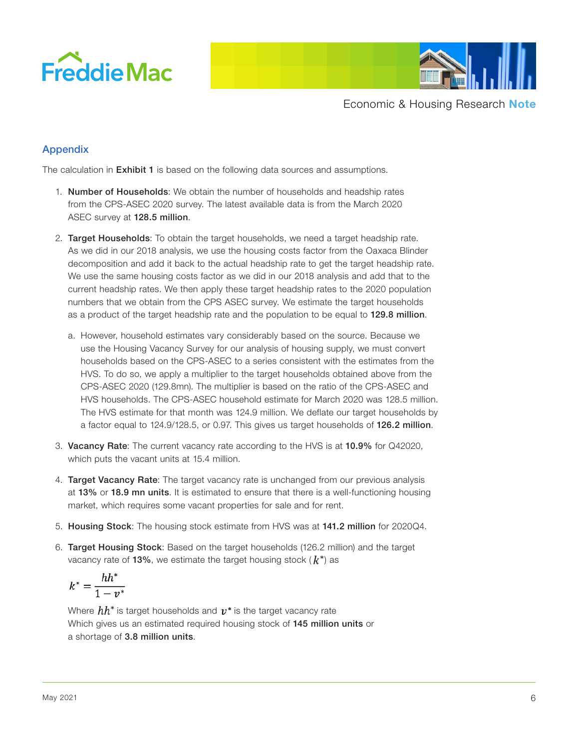



# Appendix

The calculation in **Exhibit 1** is based on the following data sources and assumptions.

- 1. Number of Households: We obtain the number of households and headship rates from the CPS-ASEC 2020 survey. The latest available data is from the March 2020 ASEC survey at 128.5 million.
- 2. Target Households: To obtain the target households, we need a target headship rate. As we did in our 2018 analysis, we use the housing costs factor from the Oaxaca Blinder decomposition and add it back to the actual headship rate to get the target headship rate. We use the same housing costs factor as we did in our 2018 analysis and add that to the current headship rates. We then apply these target headship rates to the 2020 population numbers that we obtain from the CPS ASEC survey. We estimate the target households as a product of the target headship rate and the population to be equal to 129.8 million.
	- a. However, household estimates vary considerably based on the source. Because we use the Housing Vacancy Survey for our analysis of housing supply, we must convert households based on the CPS-ASEC to a series consistent with the estimates from the HVS. To do so, we apply a multiplier to the target households obtained above from the CPS-ASEC 2020 (129.8mn). The multiplier is based on the ratio of the CPS-ASEC and HVS households. The CPS-ASEC household estimate for March 2020 was 128.5 million. The HVS estimate for that month was 124.9 million. We deflate our target households by a factor equal to 124.9/128.5, or 0.97. This gives us target households of 126.2 million.
- 3. Vacancy Rate: The current vacancy rate according to the HVS is at 10.9% for Q42020, which puts the vacant units at 15.4 million.
- 4. Target Vacancy Rate: The target vacancy rate is unchanged from our previous analysis at 13% or 18.9 mn units. It is estimated to ensure that there is a well-functioning housing market, which requires some vacant properties for sale and for rent.
- 5. Housing Stock: The housing stock estimate from HVS was at 141.2 million for 2020Q4.
- 6. Target Housing Stock: Based on the target households (126.2 million) and the target vacancy rate of 13%, we estimate the target housing stock ( $k^*$ ) as

$$
k^* = \frac{hh^*}{1 - v^*}
$$

Where  $hh^*$  is target households and  $v^*$  is the target vacancy rate Which gives us an estimated required housing stock of 145 million units or a shortage of 3.8 million units.